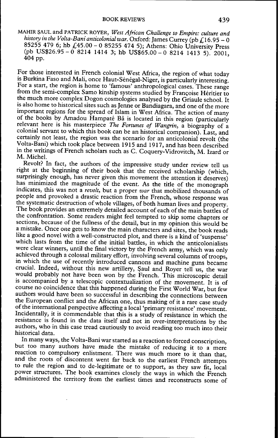MAHIR SAUL and PATRICK ROYER, *West African Challenge to Empire: culture and history in the Volta-Bani anticolonialwar.* Oxford: James Currey (pb £16 95 - 0 85255 479 6; hb £45.00 - 0 85255 474 5); Athens: Ohio University Press (pb US\$26.95-0 8214 1414 3; hb US865.00-0 8214 1413 5). 2001, 404 pp.

For those interested in French colonial West Africa, the region of what today is Burkina Faso and Mali, once Haut-Sénégal-Niger, is particularly interesting. For a start, the region is home to 'famous' anthropological cases. These range from the semi-complex Samo kinship systems studied by Frangoise Heritier to the much more complex Dogon cosmologies analysed by the Griaule school. It is also home to historical sites such as Jenne or Bandiagara, and one of the more important regions for the spread of Islam in West Africa. The action of many of the books by Amadou Hampate Ba is located in this region (particularly relevant here is his masterpiece *The Fortunes of Wangrin,* a biography of a colonial servant to which this book can be an historical companion). Last, and certainly not least, the region was the scenario for an anticolonial revolt (the Volta-Bani) which took place between 1915 and 1917, and has been described in the writings of French scholars such as C. Coquery-Vidrovitch, M. Izard or M. Michel.

Revolt? In fact, the authors of the impressive study under review tell us right at the beginning of their book that the received scholarship (which, surprisingly enough, has never given this movement the attention it deserves) has minimized the magnitude of the event. As the title of the monograph indicates, this was not a *revolt,* but a proper *war* that mobilized thousands of people and provoked a drastic reaction from the French, whose response was the systematic destruction of whole villages, of both human lives and property. The book provides an extremely detailed account of each of the main battles of the confrontation. Some readers might feel tempted to skip some chapters or sections, because of the fullness of the detail, but in my opinion this would be a mistake. Once one gets to know the main characters and sites, the book reads like a good novel with a well-constructed plot, and there is a kind of 'suspense' which lasts from the time of the initial battles, in which the anticolonialists were clear winners, until the fmal victory by the French army, which was only achieved through a colossal military effort, involving several columns of troops, in which the use of recently introduced cannons and machine guns became crucial. Indeed, without this new artillery, §aul and Royer tell us, the war would probably not have been won by the French. This microscopic detail is accompanied by a telescopic contextualization of the movement. It is of course no coincidence that this happened during the First World War, but few authors would have been so successful in describing the connections between the European conflict and the African one, thus making of it a rare case study of the international perspective affecting a local 'primary resistance' movement. Incidentally, it is commendable that this is a study of resistance in which the resistance is found in the data itself and not in over-interpretations by the authors, who in this case tread cautiously to avoid reading too much into their historical data.

In many ways, the Volta-Bani war started as a reaction to forced conscription, but too many authors have made the mistake of reducing it to a mere reaction to compulsory enlistment. There was much more to it than that, and the roots of discontent went far back to the earliest French attempts to rule the region and to de-legitimate or to support, as they saw fit, local power structures. The book examines closely the ways in which the French administered the territory from the earliest times and reconstructs some of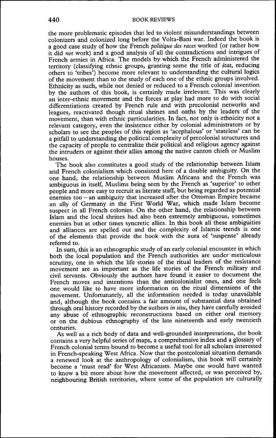the more problematic episodes that led to violent misunderstandings between colonizers and colonized long before the Volta-Bani war. Indeed the book is a good case study of how the French *politique des races* worked (or rather how it did *not* work) and a good analysis of all the contradictions and intrigues of French armies in Africa. The models by which the French administered the territory (classifying ethnic groups, granting some the title of *etat,* reducing others to 'tribes') become more relevant to understanding the cultural logics of the movement than to the study of each one of the ethnic groups involved. Ethnicity as such, while not denied or reduced to a French colonial invention by the authors of this book, is certainly made irrelevant. This was clearly an inter-ethnic movement and the forces at play had more to do with social differentiations created by French rule and with precolonial networks and leagues, reactivated though ritual shrines and oaths by the leaders of the movement, than with ethnic particularities. In fact, not only is ethnicity not a relevant category, even the insistence either by colonial administrators or by scholars to see the peoples of this region as 'acephalous' or 'stateless' can be a pitfall to understanding the political complexity of precolonial structures and the capacity of people to centralize their political and religious agency against the intruders or against their allies among the native canton chiefs or Muslim houses.

The book also constitutes a good study of the relationship between Islam and French colonialism which consisted here of a double ambiguity. On the one hand, the relationship between Muslim Africans and the French was ambiguous in itself, Muslims being seen by the French as 'superior' to other people and more easy to recruit as literate staff, but being regarded as potential enemies too - an ambiguity that increased after the Ottoman Empire became an ally of Germany in the First World War, which made Islam become suspect in all French colonies. On the other hand, the relationship between Islam and the local shrines had also been extremely ambiguous, sometimes enemies but at other times syncretic allies. In this book all these ambiguities and alliances are spelled out and the complexity of Islamic trends is one of the elements that provide the book with the aura of 'suspense' already referred to.

In sum, this is an ethnographic study of an early colonial encounter in which both the local population and the French authorities are under meticulous scrutiny, one in which the life stories of the ritual leaders of the resistance movement are as important as the life stories of the French military and civil servants. Obviously the authors have found it easier to document the French moves and intentions than the anticolonialist ones, and one feels one would like to have more information on the ritual dimensions of the movement. Unfortunately, all the information needed is today unavailable and, although the book contains a fair amount of substantial data obtained through oral history recorded by the authors *in situ,* they have carefully avoided any abuse of ethnographic reconstructions based on either oral memory or on the dubious ethnography of the late nineteenth and early twentieth centuries.

As well as a rich body of data and well-grounded interpretations, the book contains a very helpful series of maps, a comprehensive index and a glossary of French colonial terms bound to become a useful tool for all scholars interested in French-speaking West Africa. Now that the postcolonial situation demands a renewed look at the anthropology of colonialism, this book will certainly become a 'must read' for West Africanists. Maybe one would have wanted to know a bit more about how the movement affected, or was perceived by, neighbouring British territories, where some of the population are culturally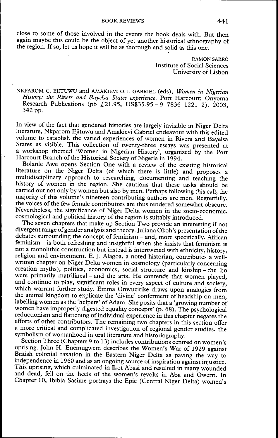## BOOK REVIEWS 441

close to some of those involved in the events the book deals with. But then again maybe this could be the object of yet another historical ethnography of the region. If so, let us hope it will be as thorough and solid as this one.

> RAMON SARRÓ Institute of Social Sciences University of Lisbon

NKPAROM C. EJITUWU and AMAKIEVI O. I. GABRIEL (eds). *Women in Nigerian History: the Rivers and Bayelsa States experience.* Port Harcourt: Onyoma Research Publications (pb £21.95, US\$35.95-9 7836 1221 2). 2003, 342 pp.

In view of the fact that gendered histories are largely invisible in Niger Delta literature, Nkparom Ejituwu and Amakievi Gabriel endeavour with this edited volume to establish the varied experiences of women in Rivers and Bayelsa States as visible. This collection of twenty-three essays was presented at a workshop themed 'Women in Nigerian History', organized by the Port Harcourt Branch of the Historical Society of Nigeria in 1994.

Bolanle Awe opens Section One with a review of the existing historical literature on the Niger Delta (of which there is little) and proposes a multidisciplinary approach to researching, documenting and teaching the history of women in the region. She cautions that these tasks should be carried out not only by women but also by men. Perhaps following this call, the majority of this volume's nineteen contributing authors are men. Regretfiilly, the voices of the few female contributors are thus rendered somewhat obscure. Nevertheless, the significance of Niger Delta women in the socio-economic, cosmological and political history of the region is suitably introduced.

The seven chapters that make up Section Two provide an interesting if not divergent range of gender analysis and theory. Juliana Okoh's presentation of the debates surrounding the concept of feminism - and, more specifically, African feminism - is both refreshing and insightful when she insists that feminism is not a monolithic construction but instead is intertwined with ethnicity, history, religion and environment. E. J. Alagoa, a noted historian, contributes a wellwritten chapter on Niger Delta women in cosmology (particularly concerning creation myths), politics, economics, social structure and kinship-the Ijo were primarily matrilineal - and the arts. He contends that women played, and continue to play, significant roles in every aspect of culture and society, which warrant further study. Emma Onwuzirike draws upon analogies from the animal kingdom to explicate the 'divine' conferment of headship on men, labelling women as the 'helpers' of Adam. She posits that a 'growing number of women have improperly digested equality concepts' (p. 68). The psychological reductionism and flattening of individual experience in this chapter negates the efforts of other contributors. The remaining two chapters in this section offer a more critical and complicated investigation of regional gender studies, the symbolism of womanhood in oral literature and historiography.

Section Three (Chapters 9 to 13) includes contributions centred on women's uprising. John H. Enemugwem describes the Women's War of 1929 against British colonial taxation in the Eastern Niger Delta as paving the way to independence in 1960 and as an ongoing source of inspiration against injustice. This uprising, which culminated in Ikot Abasi and resulted in many wounded and dead, fell on the heels of the women's revolts in Aba and Owerri. In Chapter 10, Ibibia Sasime portrays the Epie (Central Niger Delta) women's